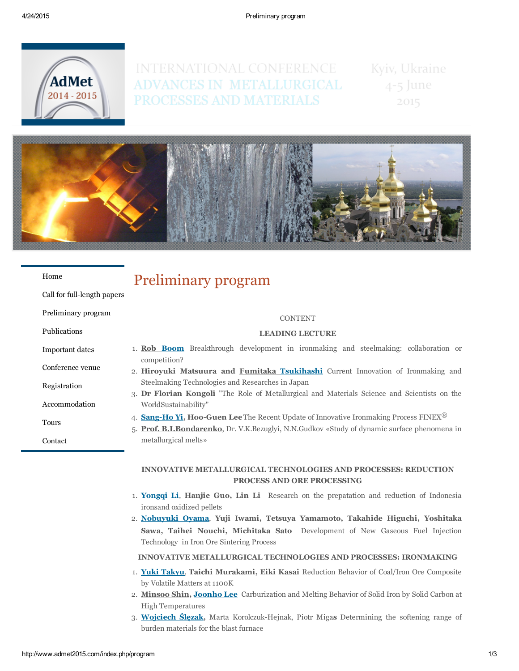

# INTERNATIONAL CONFERENCE Kyiv, Ukraine ADVANCES IN METALLURGICAL 4-5 June PROCESSES AND MATERIALS

2015



#### [Home](http://www.admet2015.com/)

Call for full-length papers

[Preliminary](http://www.admet2015.com/index.php/program) program

[Publications](http://www.admet2015.com/index.php/publications)

[Important](http://www.admet2015.com/index.php/important-dates) dates

[Conference](http://www.admet2015.com/index.php/conference-venue) venue

[Registration](http://www.admet2015.com/index.php/registration)

[Accommodation](http://www.admet2015.com/index.php/accommodation)

[Tours](http://www.admet2015.com/index.php/tours)

[Contact](http://www.admet2015.com/index.php/contact)

# Preliminary program

#### CONTENT

### LEADING LECTURE

- 1. Rob [Boom](file:///C:/Documents%20and%20Settings/User1/%D0%A0%D0%B0%D0%B1%D0%BE%D1%87%D0%B8%D0%B9%20%D1%81%D1%82%D0%BE%D0%BB/%D0%A1%D1%82%D0%B0%D1%82%D1%8C%D0%B8%20AdMet-2014/%D1%81%D1%82%D0%B0%D1%82%D1%8C%D0%B8%20%D0%BD%D0%B0%20%D0%BA%D0%BE%D0%BD%D1%84%D0%B5%D1%80%D0%B5%D0%BD%D1%86%D0%B8%D1%8E%20%D0%B2%20PDF/LEADING%20LECTUIRES/Rob_Boom.pdf) Breakthrough development in ironmaking and steelmaking: collaboration or competition?
- 2. Hiroyuki Matsuura and Fumitaka [Tsukihashi](file:///C:/Documents%20and%20Settings/User1/%D0%A0%D0%B0%D0%B1%D0%BE%D1%87%D0%B8%D0%B9%20%D1%81%D1%82%D0%BE%D0%BB/%D0%A1%D1%82%D0%B0%D1%82%D1%8C%D0%B8%20AdMet-2014/%D1%81%D1%82%D0%B0%D1%82%D1%8C%D0%B8%20%D0%BD%D0%B0%20%D0%BA%D0%BE%D0%BD%D1%84%D0%B5%D1%80%D0%B5%D0%BD%D1%86%D0%B8%D1%8E%20%D0%B2%20PDF/LEADING%20LECTUIRES/Fumitaka%20Tsukihashi%20.pdf) Current Innovation of Ironmaking and Steelmaking Technologies and Researches in Japan
- 3. Dr Florian Kongoli "The Role of Metallurgical and Materials Science and Scientists on the WorldSustainability"
- 4. **Sang-Ho Yi, Hoo-Guen Lee** The Recent Update of Innovative Ironmaking Process FINEX<sup>®</sup>
- 5. Prof. B.I.Bondarenko, Dr. V.K.Bezuglyi, N.N.Gudkov «Study of dynamic surface phenomena in metallurgical melts»

## INNOVATIVE METALLURGICAL TECHNOLOGIES AND PROCESSES: REDUCTION PROCESS AND ORE PROCESSING

- 1. [Yongqi](file:///C:/Documents%20and%20Settings/User1/%D0%A0%D0%B0%D0%B1%D0%BE%D1%87%D0%B8%D0%B9%20%D1%81%D1%82%D0%BE%D0%BB/%D0%A1%D1%82%D0%B0%D1%82%D1%8C%D0%B8%20AdMet-2014/%D1%81%D1%82%D0%B0%D1%82%D1%8C%D0%B8%20%D0%BD%D0%B0%20%D0%BA%D0%BE%D0%BD%D1%84%D0%B5%D1%80%D0%B5%D0%BD%D1%86%D0%B8%D1%8E%20%D0%B2%20PDF/INNOVATIVE%20METALLURGICAL%20TECHNOLOGIES%20AND%20PROCESSES%20REDUCTION%20PROCESS%20AND%20ORE%20PROCESSING/Yongqi%20Li.pdf) Li, Hanjie Guo, Lin Li Research on the prepatation and reduction of Indonesia ironsand oxidized pellets
- 2. [Nobuyuki](file:///C:/Documents%20and%20Settings/User1/%D0%A0%D0%B0%D0%B1%D0%BE%D1%87%D0%B8%D0%B9%20%D1%81%D1%82%D0%BE%D0%BB/%D0%A1%D1%82%D0%B0%D1%82%D1%8C%D0%B8%20AdMet-2014/%D1%81%D1%82%D0%B0%D1%82%D1%8C%D0%B8%20%D0%BD%D0%B0%20%D0%BA%D0%BE%D0%BD%D1%84%D0%B5%D1%80%D0%B5%D0%BD%D1%86%D0%B8%D1%8E%20%D0%B2%20PDF/INNOVATIVE%20METALLURGICAL%20TECHNOLOGIES%20AND%20PROCESSES%20REDUCTION%20PROCESS%20AND%20ORE%20PROCESSING/Nobuyuki%20Oyama.pdf) Oyama, Yuji Iwami, Tetsuya Yamamoto, Takahide Higuchi, Yoshitaka Sawa, Taihei Nouchi, Michitaka Sato Development of New Gaseous Fuel Injection Technology in Iron Ore Sintering Process

### INNOVATIVE METALLURGICAL TECHNOLOGIES AND PROCESSES: IRONMAKING

- 1. Yuki [Takyu,](file:///C:/Documents%20and%20Settings/User1/%D0%A0%D0%B0%D0%B1%D0%BE%D1%87%D0%B8%D0%B9%20%D1%81%D1%82%D0%BE%D0%BB/%D0%A1%D1%82%D0%B0%D1%82%D1%8C%D0%B8%20AdMet-2014/%D1%81%D1%82%D0%B0%D1%82%D1%8C%D0%B8%20%D0%BD%D0%B0%20%D0%BA%D0%BE%D0%BD%D1%84%D0%B5%D1%80%D0%B5%D0%BD%D1%86%D0%B8%D1%8E%20%D0%B2%20PDF/INNOVATIVE%20METALLURGICAL%20TECHNOLOGIES%20AND%20PROCESSES%20IRONMAKING/Yuki%20Takyu.pdf) Taichi Murakami, Eiki Kasai Reduction Behavior of Coal/Iron Ore Composite by Volatile Matters at 1100K
- 2. Minsoo Shin, [Joonho](file:///C:/Documents%20and%20Settings/User1/%D0%A0%D0%B0%D0%B1%D0%BE%D1%87%D0%B8%D0%B9%20%D1%81%D1%82%D0%BE%D0%BB/%D0%A1%D1%82%D0%B0%D1%82%D1%8C%D0%B8%20AdMet-2014/%D1%81%D1%82%D0%B0%D1%82%D1%8C%D0%B8%20%D0%BD%D0%B0%20%D0%BA%D0%BE%D0%BD%D1%84%D0%B5%D1%80%D0%B5%D0%BD%D1%86%D0%B8%D1%8E%20%D0%B2%20PDF/INNOVATIVE%20METALLURGICAL%20TECHNOLOGIES%20AND%20PROCESSES%20IRONMAKING/Joonho%20Lee.pdf) Lee Carburization and Melting Behavior of Solid Iron by Solid Carbon at High Temperatures
- 3. [Wojciech](file:///C:/Documents%20and%20Settings/User1/%D0%A0%D0%B0%D0%B1%D0%BE%D1%87%D0%B8%D0%B9%20%D1%81%D1%82%D0%BE%D0%BB/%D0%A1%D1%82%D0%B0%D1%82%D1%8C%D0%B8%20AdMet-2014/%D1%81%D1%82%D0%B0%D1%82%D1%8C%D0%B8%20%D0%BD%D0%B0%20%D0%BA%D0%BE%D0%BD%D1%84%D0%B5%D1%80%D0%B5%D0%BD%D1%86%D0%B8%D1%8E%20%D0%B2%20PDF/INNOVATIVE%20METALLURGICAL%20TECHNOLOGIES%20AND%20PROCESSES%20IRONMAKING/Wojciech%20Slezak.pdf) Ślęzak, Marta Korolczuk-Hejnak, Piotr Migas Determining the softening range of burden materials for the blast furnace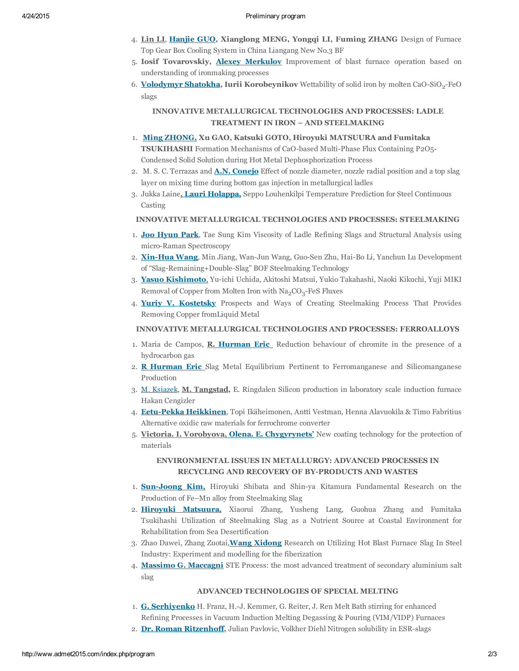- 4. Lin LI, [Hanjie](file:///C:/Documents%20and%20Settings/User1/%D0%A0%D0%B0%D0%B1%D0%BE%D1%87%D0%B8%D0%B9%20%D1%81%D1%82%D0%BE%D0%BB/%D0%A1%D1%82%D0%B0%D1%82%D1%8C%D0%B8%20AdMet-2014/%D1%81%D1%82%D0%B0%D1%82%D1%8C%D0%B8%20%D0%BD%D0%B0%20%D0%BA%D0%BE%D0%BD%D1%84%D0%B5%D1%80%D0%B5%D0%BD%D1%86%D0%B8%D1%8E%20%D0%B2%20PDF/INNOVATIVE%20METALLURGICAL%20TECHNOLOGIES%20AND%20PROCESSES%20IRONMAKING/Hanjie%20GUO.pdf) GUO, Xianglong MENG, Yongqi LI, Fuming ZHANG Design of Furnace Top Gear Box Cooling System in China Liangang New No.3 BF
- 5. Iosif Tovarovskiy, Alexey [Merkulov](file:///C:/Documents%20and%20Settings/User1/%D0%A0%D0%B0%D0%B1%D0%BE%D1%87%D0%B8%D0%B9%20%D1%81%D1%82%D0%BE%D0%BB/%D0%A1%D1%82%D0%B0%D1%82%D1%8C%D0%B8%20AdMet-2014/%D1%81%D1%82%D0%B0%D1%82%D1%8C%D0%B8%20%D0%BD%D0%B0%20%D0%BA%D0%BE%D0%BD%D1%84%D0%B5%D1%80%D0%B5%D0%BD%D1%86%D0%B8%D1%8E%20%D0%B2%20PDF/INNOVATIVE%20METALLURGICAL%20TECHNOLOGIES%20AND%20PROCESSES%20IRONMAKING/Merkulov.pdf) Improvement of blast furnace operation based on understanding of ironmaking processes
- 6. <mark>[Volodymyr](file:///C:/Documents%20and%20Settings/User1/%D0%A0%D0%B0%D0%B1%D0%BE%D1%87%D0%B8%D0%B9%20%D1%81%D1%82%D0%BE%D0%BB/%D0%A1%D1%82%D0%B0%D1%82%D1%8C%D0%B8%20AdMet-2014/%D1%81%D1%82%D0%B0%D1%82%D1%8C%D0%B8%20%D0%BD%D0%B0%20%D0%BA%D0%BE%D0%BD%D1%84%D0%B5%D1%80%D0%B5%D0%BD%D1%86%D0%B8%D1%8E%20%D0%B2%20PDF/INNOVATIVE%20METALLURGICAL%20TECHNOLOGIES%20AND%20PROCESSES%20IRONMAKING/Volodymyr%20Shatokha.pdf) Shatokha,</mark> Iurii Korobeynikov Wettability of solid iron by molten CaO-SiO<sub>2</sub>-FeO slags

## INNOVATIVE METALLURGICAL TECHNOLOGIES AND PROCESSES: LADLE TREATMENT IN IRON – AND STEELMAKING

- 1. Ming [ZHONG,](file:///C:/Documents%20and%20Settings/User1/%D0%A0%D0%B0%D0%B1%D0%BE%D1%87%D0%B8%D0%B9%20%D1%81%D1%82%D0%BE%D0%BB/%D0%A1%D1%82%D0%B0%D1%82%D1%8C%D0%B8%20AdMet-2014/%D1%81%D1%82%D0%B0%D1%82%D1%8C%D0%B8%20%D0%BD%D0%B0%20%D0%BA%D0%BE%D0%BD%D1%84%D0%B5%D1%80%D0%B5%D0%BD%D1%86%D0%B8%D1%8E%20%D0%B2%20PDF/INNOVATIVE%20METALLURGICAL%20TECHNOLOGIES%20AND%20PROCESSES%20LADLE%20TREATMENT%20IN%20IRON%20AND%20STEELMAKING/Ming%20ZHONG.pdf) Xu GAO, Katsuki GOTO, Hiroyuki MATSUURA and Fumitaka TSUKIHASHI Formation Mechanisms of CaO-based Multi-Phase Flux Containing P2O5-Condensed Solid Solution during Hot Metal Dephosphorization Process
- 2. M. S. C. Terrazas and **A.N. [Conejo](file:///C:/Documents%20and%20Settings/User1/%D0%A0%D0%B0%D0%B1%D0%BE%D1%87%D0%B8%D0%B9%20%D1%81%D1%82%D0%BE%D0%BB/%D0%A1%D1%82%D0%B0%D1%82%D1%8C%D0%B8%20AdMet-2014/%D1%81%D1%82%D0%B0%D1%82%D1%8C%D0%B8%20%D0%BD%D0%B0%20%D0%BA%D0%BE%D0%BD%D1%84%D0%B5%D1%80%D0%B5%D0%BD%D1%86%D0%B8%D1%8E%20%D0%B2%20PDF/INNOVATIVE%20METALLURGICAL%20TECHNOLOGIES%20AND%20PROCESSES%20LADLE%20TREATMENT%20IN%20IRON%20AND%20STEELMAKING/A.N.%20Conejo.pdf)** [E](file:///C:/Documents%20and%20Settings/User1/%D0%A0%D0%B0%D0%B1%D0%BE%D1%87%D0%B8%D0%B9%20%D1%81%D1%82%D0%BE%D0%BB/%D0%A1%D1%82%D0%B0%D1%82%D1%8C%D0%B8%20AdMet-2014/%D1%81%D1%82%D0%B0%D1%82%D1%8C%D0%B8%20%D0%BD%D0%B0%20%D0%BA%D0%BE%D0%BD%D1%84%D0%B5%D1%80%D0%B5%D0%BD%D1%86%D0%B8%D1%8E%20%D0%B2%20PDF/INNOVATIVE%20METALLURGICAL%20TECHNOLOGIES%20AND%20PROCESSES%20LADLE%20TREATMENT%20IN%20IRON%20AND%20STEELMAKING/A.N.%20Conejo.pdf)ffect of nozzle diameter, nozzle radial position and a top slag layer on mixing time during bottom gas injection in metallurgical ladles
- 3. Jukka Laine, Lauri [Holappa,](file:///C:/Documents%20and%20Settings/User1/%D0%A0%D0%B0%D0%B1%D0%BE%D1%87%D0%B8%D0%B9%20%D1%81%D1%82%D0%BE%D0%BB/%D0%A1%D1%82%D0%B0%D1%82%D1%8C%D0%B8%20AdMet-2014/%D1%81%D1%82%D0%B0%D1%82%D1%8C%D0%B8%20%D0%BD%D0%B0%20%D0%BA%D0%BE%D0%BD%D1%84%D0%B5%D1%80%D0%B5%D0%BD%D1%86%D0%B8%D1%8E%20%D0%B2%20PDF/INNOVATIVE%20METALLURGICAL%20TECHNOLOGIES%20AND%20PROCESSES%20LADLE%20TREATMENT%20IN%20IRON%20AND%20STEELMAKING/Lauri%20Holappa.pdf) Seppo Louhenkilpi Temperature Prediction for Steel Continuous Casting

## INNOVATIVE METALLURGICAL TECHNOLOGIES AND PROCESSES: STEELMAKING

- 1. Joo [Hyun](file:///C:/Documents%20and%20Settings/User1/%D0%A0%D0%B0%D0%B1%D0%BE%D1%87%D0%B8%D0%B9%20%D1%81%D1%82%D0%BE%D0%BB/%D0%A1%D1%82%D0%B0%D1%82%D1%8C%D0%B8%20AdMet-2014/%D1%81%D1%82%D0%B0%D1%82%D1%8C%D0%B8%20%D0%BD%D0%B0%20%D0%BA%D0%BE%D0%BD%D1%84%D0%B5%D1%80%D0%B5%D0%BD%D1%86%D0%B8%D1%8E%20%D0%B2%20PDF/INNOVATIVE%20METALLURGICAL%20TECHNOLOGIES%20AND%20PROCESSES%20STEELMAKING/Joo%20Hyun%20Park.pdf) Park, Tae Sung Kim Viscosity of Ladle Refining Slags and Structural Analysis using micro-Raman Spectroscopy
- 2. Xin-Hua Wang, Min Jiang, Wan-Jun Wang, Guo-Sen Zhu, Hai-Bo Li, Yanchun Lu Development of "Slag-Remaining+Double-Slag" BOF Steelmaking Technology
- 3. Yasuo [Kishimoto,](file:///C:/Documents%20and%20Settings/User1/%D0%A0%D0%B0%D0%B1%D0%BE%D1%87%D0%B8%D0%B9%20%D1%81%D1%82%D0%BE%D0%BB/%D0%A1%D1%82%D0%B0%D1%82%D1%8C%D0%B8%20AdMet-2014/%D1%81%D1%82%D0%B0%D1%82%D1%8C%D0%B8%20%D0%BD%D0%B0%20%D0%BA%D0%BE%D0%BD%D1%84%D0%B5%D1%80%D0%B5%D0%BD%D1%86%D0%B8%D1%8E%20%D0%B2%20PDF/INNOVATIVE%20METALLURGICAL%20TECHNOLOGIES%20AND%20PROCESSES%20STEELMAKING/Yasuo%20Kishimoto.pdf) Yu-ichi Uchida, Akitoshi Matsui, Yukio Takahashi, Naoki Kikuchi, Yuji MIKI Removal of Copper from Molten Iron with  $\rm Na_2CO_3$ -FeS Fluxes
- 4. Yuriy V. [Kostetsky](file:///C:/Documents%20and%20Settings/User1/%D0%A0%D0%B0%D0%B1%D0%BE%D1%87%D0%B8%D0%B9%20%D1%81%D1%82%D0%BE%D0%BB/%D0%A1%D1%82%D0%B0%D1%82%D1%8C%D0%B8%20AdMet-2014/%D1%81%D1%82%D0%B0%D1%82%D1%8C%D0%B8%20%D0%BD%D0%B0%20%D0%BA%D0%BE%D0%BD%D1%84%D0%B5%D1%80%D0%B5%D0%BD%D1%86%D0%B8%D1%8E%20%D0%B2%20PDF/INNOVATIVE%20METALLURGICAL%20TECHNOLOGIES%20AND%20PROCESSES%20STEELMAKING/Yuriy%20V.%20Kostetsky.pdf) Prospects and Ways of Creating Steelmaking Process That Provides Removing Copper fromLiquid Metal

#### INNOVATIVE METALLURGICAL TECHNOLOGIES AND PROCESSES: FERROALLOYS

- 1. Maria de Campos, **R. [Hurman](file:///C:/Documents%20and%20Settings/User1/%D0%A0%D0%B0%D0%B1%D0%BE%D1%87%D0%B8%D0%B9%20%D1%81%D1%82%D0%BE%D0%BB/%D0%A1%D1%82%D0%B0%D1%82%D1%8C%D0%B8%20AdMet-2014/INNOVATIVE%20METALLURGICAL%20TECHNOLOGIES%20AND%20PROCESSES%20FERROALLOYS/Hurman%20Eric.pdf) Eric** Reduction behaviour of chromite in the presence of a hydrocarbon gas
- 2. R [Hurman](file:///C:/Documents%20and%20Settings/User1/%D0%A0%D0%B0%D0%B1%D0%BE%D1%87%D0%B8%D0%B9%20%D1%81%D1%82%D0%BE%D0%BB/%D0%A1%D1%82%D0%B0%D1%82%D1%8C%D0%B8%20AdMet-2014/INNOVATIVE%20METALLURGICAL%20TECHNOLOGIES%20AND%20PROCESSES%20FERROALLOYS/R%20Hurman%20Eric.pdf) Eric Slag Metal Equilibrium Pertinent to Ferromanganese and Silicomanganese Production
- 3. M. [Ksiazek,](file:///C:/Documents%20and%20Settings/User1/%D0%A0%D0%B0%D0%B1%D0%BE%D1%87%D0%B8%D0%B9%20%D1%81%D1%82%D0%BE%D0%BB/%D0%A1%D1%82%D0%B0%D1%82%D1%8C%D0%B8%20AdMet-2014/INNOVATIVE%20METALLURGICAL%20TECHNOLOGIES%20AND%20PROCESSES%20FERROALLOYS/M.%20Ksiazek.pdf) M. Tangstad, E. Ringdalen Silicon production in laboratory scale induction furnace Hakan Cengizler
- 4. Eetu-Pekka Heikkinen, Topi Ikäheimonen, Antti Vestman, Henna Alavuokila & Timo Fabritius Alternative oxidic raw materials for ferrochrome converter
- 5. Victoria. I. Vorobyova, Olena. E. [Chygyrynets'](file:///C:/Documents%20and%20Settings/User1/%D0%A0%D0%B0%D0%B1%D0%BE%D1%87%D0%B8%D0%B9%20%D1%81%D1%82%D0%BE%D0%BB/%D0%A1%D1%82%D0%B0%D1%82%D1%8C%D0%B8%20AdMet-2014/INNOVATIVE%20METALLURGICAL%20TECHNOLOGIES%20AND%20PROCESSES%20FERROALLOYS/Chygyrynets.pdf) New coating technology for the protection of materials

## ENVIRONMENTAL ISSUES IN METALLURGY: ADVANCED PROCESSES IN RECYCLING AND RECOVERY OF BY-PRODUCTS AND WASTES

- 1. **Sun-Joong Kim,** Hiroyuki Shibata and Shin-ya Kitamura Fundamental Research on the Production of Fe–Mn alloy from Steelmaking Slag
- 2. Hiroyuki [Matsuura,](file:///C:/Documents%20and%20Settings/User1/%D0%A0%D0%B0%D0%B1%D0%BE%D1%87%D0%B8%D0%B9%20%D1%81%D1%82%D0%BE%D0%BB/%D0%A1%D1%82%D0%B0%D1%82%D1%8C%D0%B8%20AdMet-2014/%D1%81%D1%82%D0%B0%D1%82%D1%8C%D0%B8%20%D0%BD%D0%B0%20%D0%BA%D0%BE%D0%BD%D1%84%D0%B5%D1%80%D0%B5%D0%BD%D1%86%D0%B8%D1%8E%20%D0%B2%20PDF/ENVIRONMENTAL%20ISSUES%20IN%20METALLURGY%20ADVANCED%20PROCESSES%20IN%20RECYCLING%20AND%20RECOVERY%20OF%20BY-PRODUCTS%20AND%20WASTES/Hirokazu%20Konishi.pdf) Xiaorui Zhang, Yusheng Lang, Guohua Zhang and Fumitaka Tsukihashi Utilization of Steelmaking Slag as a Nutrient Source at Coastal Environment for Rehabilitation from Sea Desertification
- 3. Zhao Dawei, Zhang Zuotai, Wang [Xidong](file:///C:/Documents%20and%20Settings/User1/%D0%A0%D0%B0%D0%B1%D0%BE%D1%87%D0%B8%D0%B9%20%D1%81%D1%82%D0%BE%D0%BB/%D0%A1%D1%82%D0%B0%D1%82%D1%8C%D0%B8%20AdMet-2014/%D1%81%D1%82%D0%B0%D1%82%D1%8C%D0%B8%20%D0%BD%D0%B0%20%D0%BA%D0%BE%D0%BD%D1%84%D0%B5%D1%80%D0%B5%D0%BD%D1%86%D0%B8%D1%8E%20%D0%B2%20PDF/ENVIRONMENTAL%20ISSUES%20IN%20METALLURGY%20ADVANCED%20PROCESSES%20IN%20RECYCLING%20AND%20RECOVERY%20OF%20BY-PRODUCTS%20AND%20WASTES/Wang%20Xidong%20.pdf) Research on Utilizing Hot Blast Furnace Slag In Steel Industry: Experiment and modelling for the fiberization
- 4. Massimo G. [Maccagni](file:///C:/Documents%20and%20Settings/User1/%D0%A0%D0%B0%D0%B1%D0%BE%D1%87%D0%B8%D0%B9%20%D1%81%D1%82%D0%BE%D0%BB/%D0%A1%D1%82%D0%B0%D1%82%D1%8C%D0%B8%20AdMet-2014/%D1%81%D1%82%D0%B0%D1%82%D1%8C%D0%B8%20%D0%BD%D0%B0%20%D0%BA%D0%BE%D0%BD%D1%84%D0%B5%D1%80%D0%B5%D0%BD%D1%86%D0%B8%D1%8E%20%D0%B2%20PDF/ENVIRONMENTAL%20ISSUES%20IN%20METALLURGY%20ADVANCED%20PROCESSES%20IN%20RECYCLING%20AND%20RECOVERY%20OF%20BY-PRODUCTS%20AND%20WASTES/G.%20Maccagni1.pdf) STE Process: the most advanced treatment of secondary aluminium salt slag

## ADVANCED TECHNOLOGIES OF SPECIAL MELTING

- 1. G. [Serhiyenko](file:///C:/Documents%20and%20Settings/User1/%D0%A0%D0%B0%D0%B1%D0%BE%D1%87%D0%B8%D0%B9%20%D1%81%D1%82%D0%BE%D0%BB/%D0%A1%D1%82%D0%B0%D1%82%D1%8C%D0%B8%20AdMet-2014/%D1%81%D1%82%D0%B0%D1%82%D1%8C%D0%B8%20%D0%BD%D0%B0%20%D0%BA%D0%BE%D0%BD%D1%84%D0%B5%D1%80%D0%B5%D0%BD%D1%86%D0%B8%D1%8E%20%D0%B2%20PDF/ADVANCED%20TECHNOLOGIES%20OF%20SPECIAL%20MELTING/G.%20Serhiyenko.pdf) H. Franz, H.J. Kemmer, G. Reiter, J. Ren Melt Bath stirring for enhanced Refining Processes in Vacuum Induction Melting Degassing & Pouring (VIM/VIDP) Furnaces
- 2. Dr. Roman [Ritzenhoff,](file:///C:/Documents%20and%20Settings/User1/%D0%A0%D0%B0%D0%B1%D0%BE%D1%87%D0%B8%D0%B9%20%D1%81%D1%82%D0%BE%D0%BB/%D0%A1%D1%82%D0%B0%D1%82%D1%8C%D0%B8%20AdMet-2014/%D1%81%D1%82%D0%B0%D1%82%D1%8C%D0%B8%20%D0%BD%D0%B0%20%D0%BA%D0%BE%D0%BD%D1%84%D0%B5%D1%80%D0%B5%D0%BD%D1%86%D0%B8%D1%8E%20%D0%B2%20PDF/ADVANCED%20TECHNOLOGIES%20OF%20SPECIAL%20MELTING/Roman%20Ritzenhoff.pdf) Julian Pavlovic, Volkher Diehl Nitrogen solubility in ESR-slags